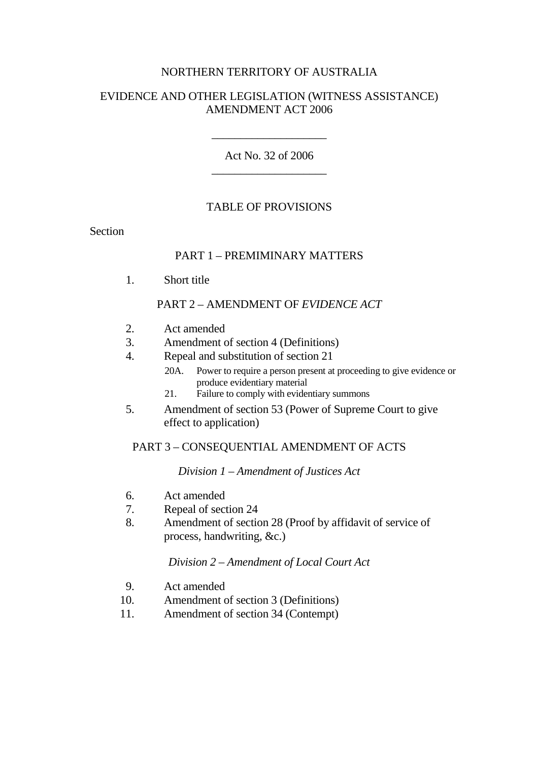#### NORTHERN TERRITORY OF AUSTRALIA

#### EVIDENCE AND OTHER LEGISLATION (WITNESS ASSISTANCE) AMENDMENT ACT 2006

Act No. 32 of 2006 \_\_\_\_\_\_\_\_\_\_\_\_\_\_\_\_\_\_\_\_

\_\_\_\_\_\_\_\_\_\_\_\_\_\_\_\_\_\_\_\_

#### TABLE OF PROVISIONS

Section

#### PART 1 – PREMIMINARY MATTERS

1. Short title

#### PART 2 – AMENDMENT OF *EVIDENCE ACT*

- 2. Act amended
- 3. Amendment of section 4 (Definitions)
- 4. Repeal and substitution of section 21
	- 20A. Power to require a person present at proceeding to give evidence or produce evidentiary material
	- 21. Failure to comply with evidentiary summons
- 5. Amendment of section 53 (Power of Supreme Court to give effect to application)

#### PART 3 – CONSEQUENTIAL AMENDMENT OF ACTS

#### *Division 1 – Amendment of Justices Act*

- 6. Act amended
- 7. Repeal of section 24
- 8. Amendment of section 28 (Proof by affidavit of service of process, handwriting, &c.)

#### *Division 2 – Amendment of Local Court Act*

- 9. Act amended
- 10. Amendment of section 3 (Definitions)
- 11. Amendment of section 34 (Contempt)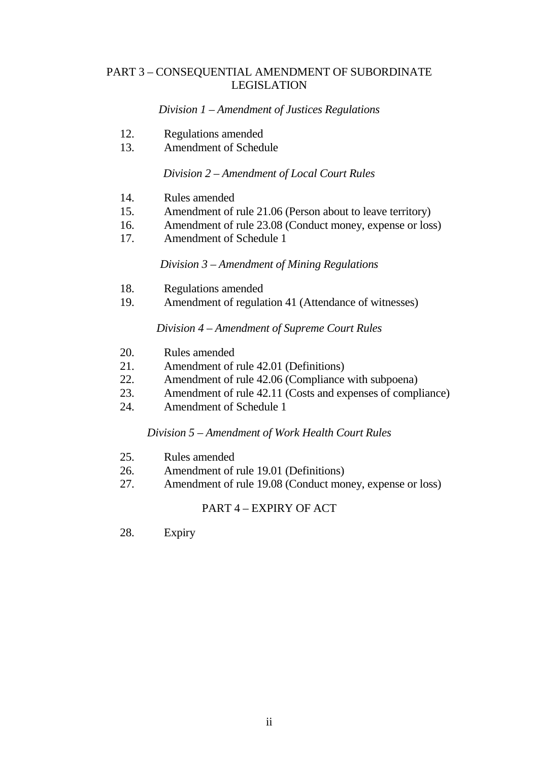#### PART 3 – CONSEQUENTIAL AMENDMENT OF SUBORDINATE LEGISLATION

#### *Division 1 – Amendment of Justices Regulations*

- 12. Regulations amended
- 13. Amendment of Schedule

#### *Division 2 – Amendment of Local Court Rules*

- 14. Rules amended
- 15. Amendment of rule 21.06 (Person about to leave territory)
- 16. Amendment of rule 23.08 (Conduct money, expense or loss)
- 17. Amendment of Schedule 1

#### *Division 3 – Amendment of Mining Regulations*

- 18. Regulations amended
- 19. Amendment of regulation 41 (Attendance of witnesses)

#### *Division 4 – Amendment of Supreme Court Rules*

- 20. Rules amended
- 21. Amendment of rule 42.01 (Definitions)
- 22. Amendment of rule 42.06 (Compliance with subpoena)
- 23. Amendment of rule 42.11 (Costs and expenses of compliance)
- 24. Amendment of Schedule 1

## *Division 5 – Amendment of Work Health Court Rules*

- 25. Rules amended
- 26. Amendment of rule 19.01 (Definitions)
- 27. Amendment of rule 19.08 (Conduct money, expense or loss)

## PART 4 – EXPIRY OF ACT

28. Expiry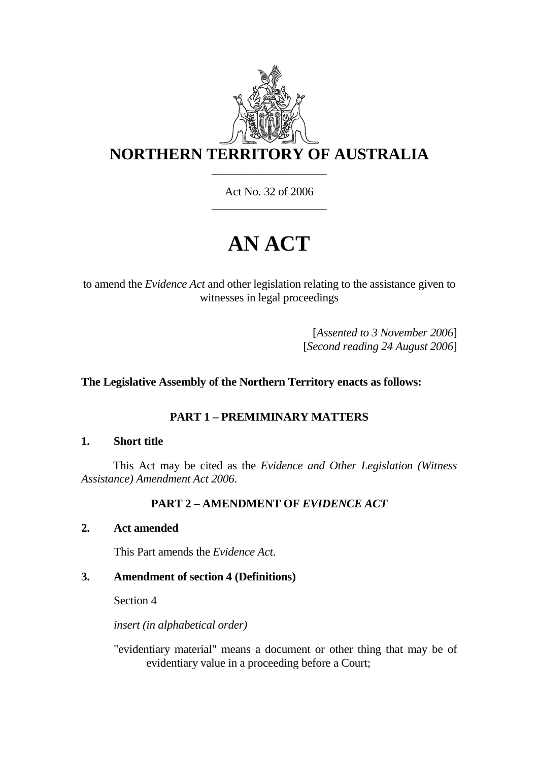

Act No. 32 of 2006 \_\_\_\_\_\_\_\_\_\_\_\_\_\_\_\_\_\_\_\_

# **AN ACT**

to amend the *Evidence Act* and other legislation relating to the assistance given to witnesses in legal proceedings

> [*Assented to 3 November 2006*] [*Second reading 24 August 2006*]

## **The Legislative Assembly of the Northern Territory enacts as follows:**

## **PART 1 – PREMIMINARY MATTERS**

#### **1. Short title**

 This Act may be cited as the *Evidence and Other Legislation (Witness Assistance) Amendment Act 2006*.

## **PART 2 – AMENDMENT OF** *EVIDENCE ACT*

## **2. Act amended**

This Part amends the *Evidence Act*.

#### **3. Amendment of section 4 (Definitions)**

Section 4

 *insert (in alphabetical order)* 

"evidentiary material" means a document or other thing that may be of evidentiary value in a proceeding before a Court;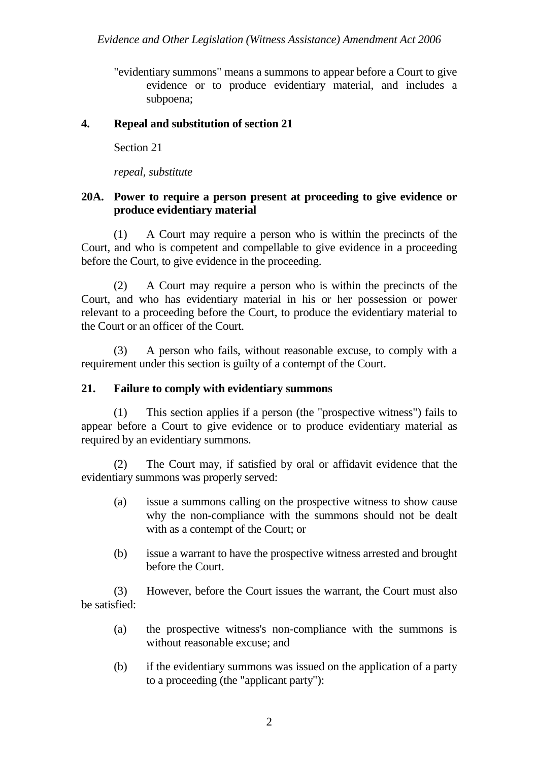"evidentiary summons" means a summons to appear before a Court to give evidence or to produce evidentiary material, and includes a subpoena;

## **4. Repeal and substitution of section 21**

Section 21

 *repeal, substitute* 

## **20A. Power to require a person present at proceeding to give evidence or produce evidentiary material**

 (1) A Court may require a person who is within the precincts of the Court, and who is competent and compellable to give evidence in a proceeding before the Court, to give evidence in the proceeding.

 (2) A Court may require a person who is within the precincts of the Court, and who has evidentiary material in his or her possession or power relevant to a proceeding before the Court, to produce the evidentiary material to the Court or an officer of the Court.

 (3) A person who fails, without reasonable excuse, to comply with a requirement under this section is guilty of a contempt of the Court.

## **21. Failure to comply with evidentiary summons**

 (1) This section applies if a person (the "prospective witness") fails to appear before a Court to give evidence or to produce evidentiary material as required by an evidentiary summons.

 (2) The Court may, if satisfied by oral or affidavit evidence that the evidentiary summons was properly served:

- (a) issue a summons calling on the prospective witness to show cause why the non-compliance with the summons should not be dealt with as a contempt of the Court; or
- (b) issue a warrant to have the prospective witness arrested and brought before the Court.

 (3) However, before the Court issues the warrant, the Court must also be satisfied:

- (a) the prospective witness's non-compliance with the summons is without reasonable excuse; and
- (b) if the evidentiary summons was issued on the application of a party to a proceeding (the "applicant party"):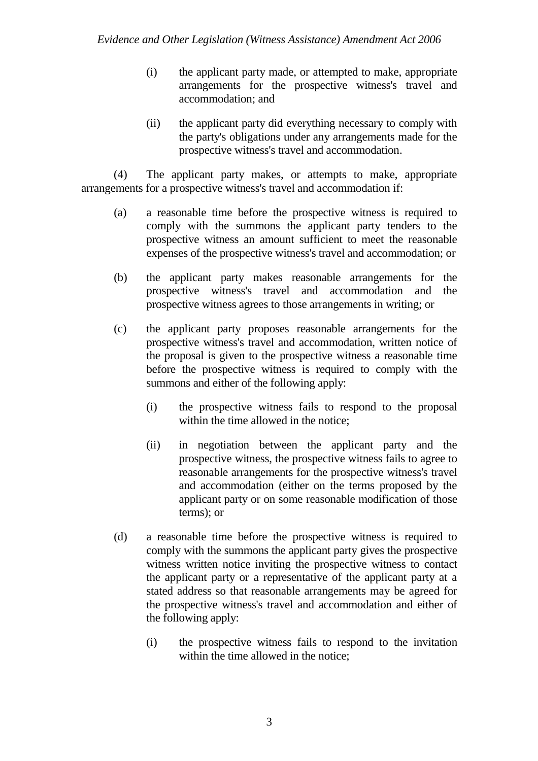- (i) the applicant party made, or attempted to make, appropriate arrangements for the prospective witness's travel and accommodation; and
- (ii) the applicant party did everything necessary to comply with the party's obligations under any arrangements made for the prospective witness's travel and accommodation.

 (4) The applicant party makes, or attempts to make, appropriate arrangements for a prospective witness's travel and accommodation if:

- (a) a reasonable time before the prospective witness is required to comply with the summons the applicant party tenders to the prospective witness an amount sufficient to meet the reasonable expenses of the prospective witness's travel and accommodation; or
- (b) the applicant party makes reasonable arrangements for the prospective witness's travel and accommodation and the prospective witness agrees to those arrangements in writing; or
- (c) the applicant party proposes reasonable arrangements for the prospective witness's travel and accommodation, written notice of the proposal is given to the prospective witness a reasonable time before the prospective witness is required to comply with the summons and either of the following apply:
	- (i) the prospective witness fails to respond to the proposal within the time allowed in the notice:
	- (ii) in negotiation between the applicant party and the prospective witness, the prospective witness fails to agree to reasonable arrangements for the prospective witness's travel and accommodation (either on the terms proposed by the applicant party or on some reasonable modification of those terms); or
- (d) a reasonable time before the prospective witness is required to comply with the summons the applicant party gives the prospective witness written notice inviting the prospective witness to contact the applicant party or a representative of the applicant party at a stated address so that reasonable arrangements may be agreed for the prospective witness's travel and accommodation and either of the following apply:
	- (i) the prospective witness fails to respond to the invitation within the time allowed in the notice: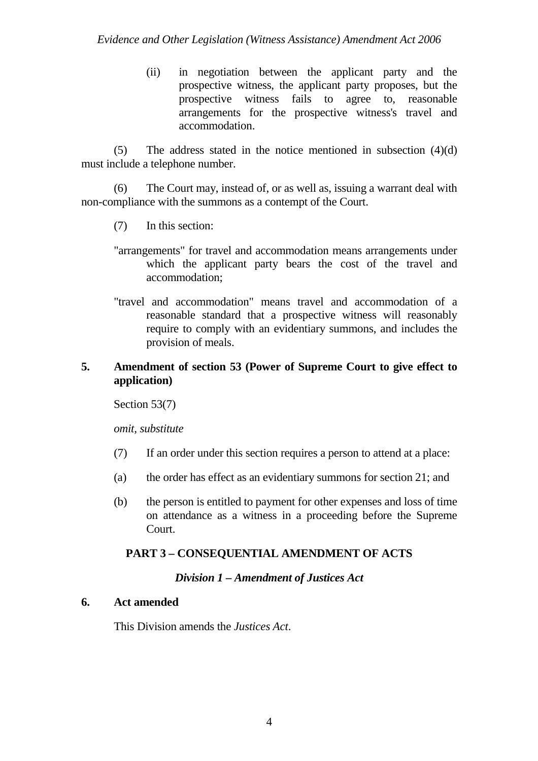(ii) in negotiation between the applicant party and the prospective witness, the applicant party proposes, but the prospective witness fails to agree to, reasonable arrangements for the prospective witness's travel and accommodation.

 (5) The address stated in the notice mentioned in subsection (4)(d) must include a telephone number.

 (6) The Court may, instead of, or as well as, issuing a warrant deal with non-compliance with the summons as a contempt of the Court.

- (7) In this section:
- "arrangements" for travel and accommodation means arrangements under which the applicant party bears the cost of the travel and accommodation;
- "travel and accommodation" means travel and accommodation of a reasonable standard that a prospective witness will reasonably require to comply with an evidentiary summons, and includes the provision of meals.

## **5. Amendment of section 53 (Power of Supreme Court to give effect to application)**

Section 53(7)

 *omit, substitute* 

- (7) If an order under this section requires a person to attend at a place:
- (a) the order has effect as an evidentiary summons for section 21; and
- (b) the person is entitled to payment for other expenses and loss of time on attendance as a witness in a proceeding before the Supreme Court.

## **PART 3 – CONSEQUENTIAL AMENDMENT OF ACTS**

#### *Division 1 – Amendment of Justices Act*

## **6. Act amended**

This Division amends the *Justices Act*.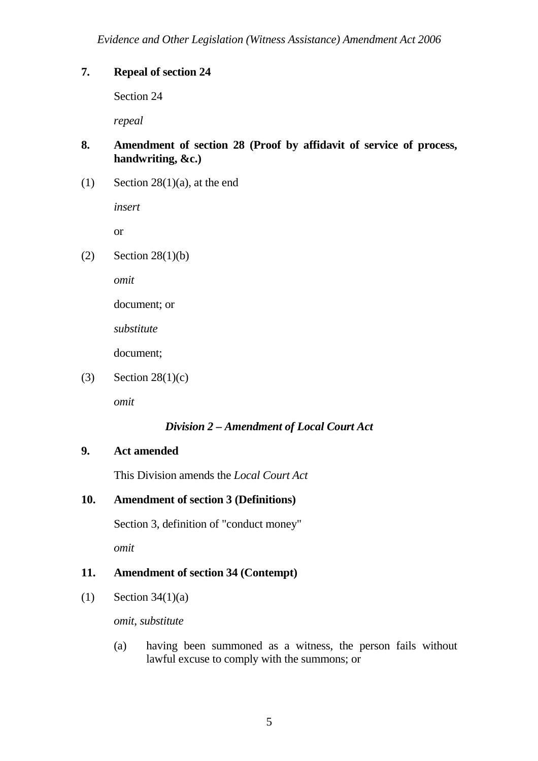## **7. Repeal of section 24**

Section 24

 *repeal* 

## **8. Amendment of section 28 (Proof by affidavit of service of process, handwriting, &c.)**

(1) Section  $28(1)(a)$ , at the end

 *insert* 

or

 $(2)$  Section 28(1)(b)

 *omit*

document; or

*substitute* 

document;

(3) Section  $28(1)(c)$ 

 *omit* 

## *Division 2 – Amendment of Local Court Act*

## **9. Act amended**

This Division amends the *Local Court Act*

## **10. Amendment of section 3 (Definitions)**

Section 3, definition of "conduct money"

 *omit*

## **11. Amendment of section 34 (Contempt)**

(1) Section  $34(1)(a)$ 

 *omit*, *substitute*

(a) having been summoned as a witness, the person fails without lawful excuse to comply with the summons; or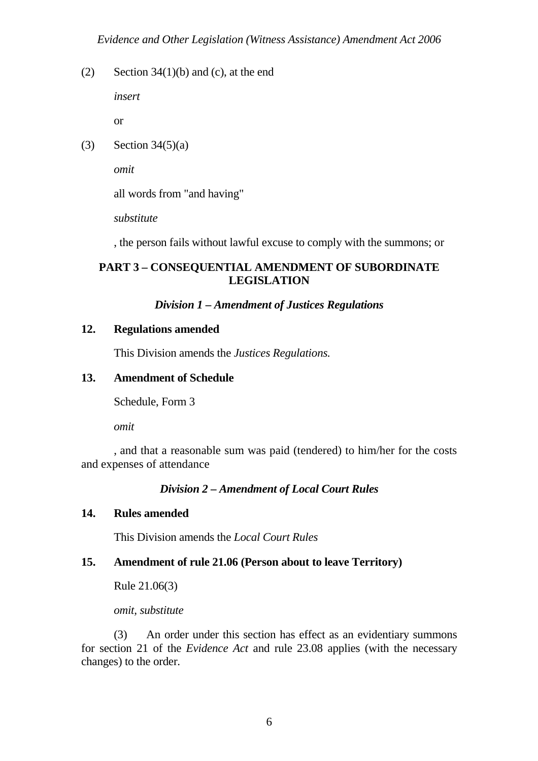(2) Section  $34(1)(b)$  and (c), at the end

*insert* 

or

(3) Section  $34(5)(a)$ 

 *omit* 

all words from "and having"

*substitute* 

, the person fails without lawful excuse to comply with the summons; or

## **PART 3 – CONSEQUENTIAL AMENDMENT OF SUBORDINATE LEGISLATION**

## *Division 1 – Amendment of Justices Regulations*

## **12. Regulations amended**

This Division amends the *Justices Regulations.*

## **13. Amendment of Schedule**

Schedule, Form 3

 *omit* 

 , and that a reasonable sum was paid (tendered) to him/her for the costs and expenses of attendance

## *Division 2 – Amendment of Local Court Rules*

## **14. Rules amended**

This Division amends the *Local Court Rules*

## **15. Amendment of rule 21.06 (Person about to leave Territory)**

Rule 21.06(3)

 *omit, substitute*

 (3) An order under this section has effect as an evidentiary summons for section 21 of the *Evidence Act* and rule 23.08 applies (with the necessary changes) to the order.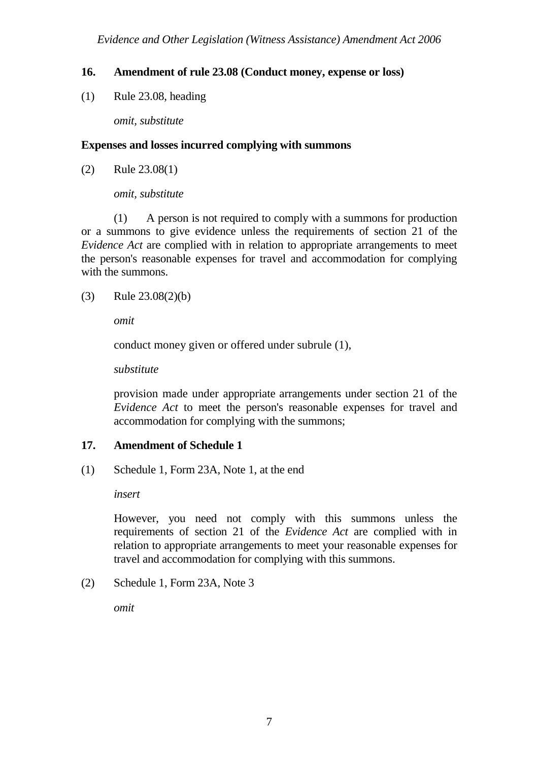## **16. Amendment of rule 23.08 (Conduct money, expense or loss)**

(1) Rule 23.08, heading

 *omit, substitute* 

#### **Expenses and losses incurred complying with summons**

(2) Rule 23.08(1)

 *omit, substitute* 

 (1) A person is not required to comply with a summons for production or a summons to give evidence unless the requirements of section 21 of the *Evidence Act* are complied with in relation to appropriate arrangements to meet the person's reasonable expenses for travel and accommodation for complying with the summons.

(3) Rule 23.08(2)(b)

 *omit* 

conduct money given or offered under subrule (1),

 *substitute* 

 provision made under appropriate arrangements under section 21 of the *Evidence Act* to meet the person's reasonable expenses for travel and accommodation for complying with the summons;

## **17. Amendment of Schedule 1**

(1) Schedule 1, Form 23A, Note 1, at the end

 *insert* 

However, you need not comply with this summons unless the requirements of section 21 of the *Evidence Act* are complied with in relation to appropriate arrangements to meet your reasonable expenses for travel and accommodation for complying with this summons.

(2) Schedule 1, Form 23A, Note 3

 *omit*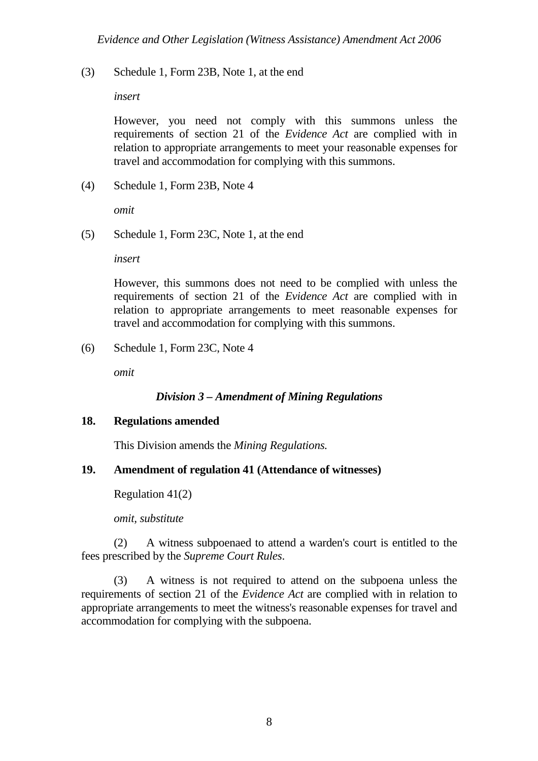(3) Schedule 1, Form 23B, Note 1, at the end

 *insert* 

However, you need not comply with this summons unless the requirements of section 21 of the *Evidence Act* are complied with in relation to appropriate arrangements to meet your reasonable expenses for travel and accommodation for complying with this summons.

(4) Schedule 1, Form 23B, Note 4

 *omit* 

(5) Schedule 1, Form 23C, Note 1, at the end

 *insert* 

However, this summons does not need to be complied with unless the requirements of section 21 of the *Evidence Act* are complied with in relation to appropriate arrangements to meet reasonable expenses for travel and accommodation for complying with this summons.

(6) Schedule 1, Form 23C, Note 4

 *omit* 

## *Division 3 – Amendment of Mining Regulations*

#### **18. Regulations amended**

This Division amends the *Mining Regulations.*

## **19. Amendment of regulation 41 (Attendance of witnesses)**

Regulation 41(2)

 *omit, substitute* 

 (2) A witness subpoenaed to attend a warden's court is entitled to the fees prescribed by the *Supreme Court Rules*.

 (3) A witness is not required to attend on the subpoena unless the requirements of section 21 of the *Evidence Act* are complied with in relation to appropriate arrangements to meet the witness's reasonable expenses for travel and accommodation for complying with the subpoena.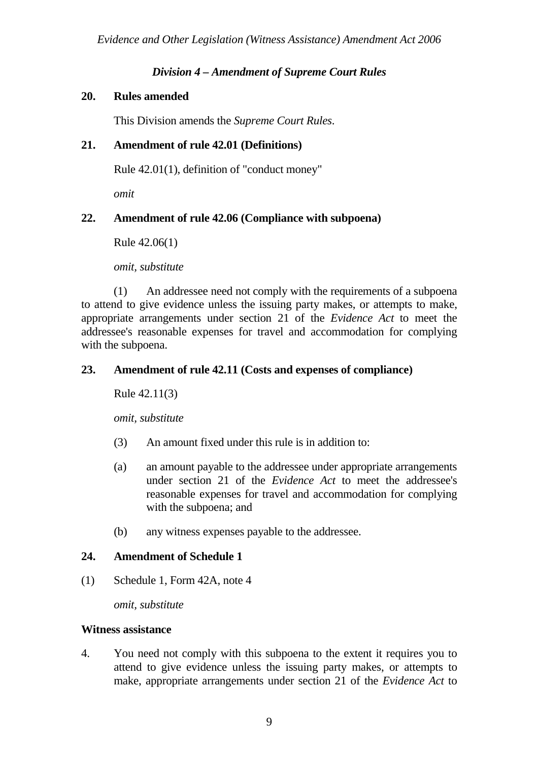## *Division 4 – Amendment of Supreme Court Rules*

## **20. Rules amended**

This Division amends the *Supreme Court Rules*.

## **21. Amendment of rule 42.01 (Definitions)**

Rule 42.01(1), definition of "conduct money"

 *omit* 

## **22. Amendment of rule 42.06 (Compliance with subpoena)**

Rule 42.06(1)

 *omit, substitute* 

 (1) An addressee need not comply with the requirements of a subpoena to attend to give evidence unless the issuing party makes, or attempts to make, appropriate arrangements under section 21 of the *Evidence Act* to meet the addressee's reasonable expenses for travel and accommodation for complying with the subpoena.

## **23. Amendment of rule 42.11 (Costs and expenses of compliance)**

Rule 42.11(3)

 *omit, substitute* 

- (3) An amount fixed under this rule is in addition to:
- (a) an amount payable to the addressee under appropriate arrangements under section 21 of the *Evidence Act* to meet the addressee's reasonable expenses for travel and accommodation for complying with the subpoena; and
- (b) any witness expenses payable to the addressee.

## **24. Amendment of Schedule 1**

(1) Schedule 1, Form 42A, note 4

 *omit, substitute* 

#### **Witness assistance**

4. You need not comply with this subpoena to the extent it requires you to attend to give evidence unless the issuing party makes, or attempts to make, appropriate arrangements under section 21 of the *Evidence Act* to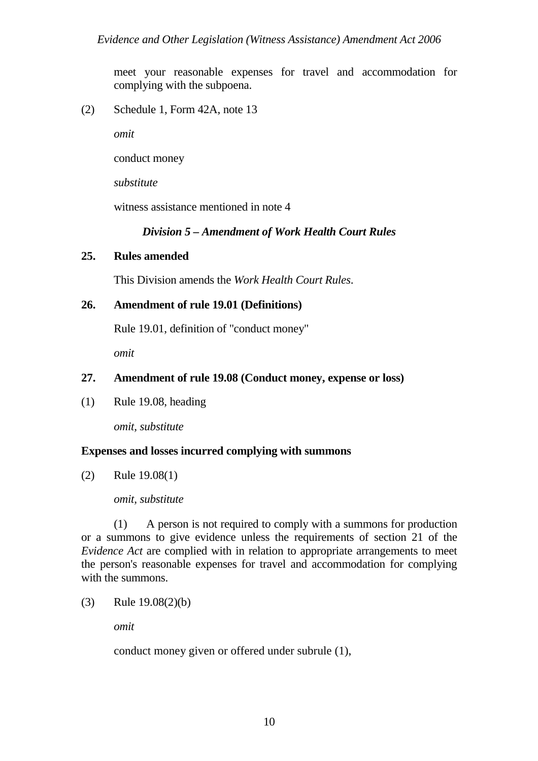meet your reasonable expenses for travel and accommodation for complying with the subpoena.

(2) Schedule 1, Form 42A, note 13

 *omit* 

conduct money

 *substitute* 

witness assistance mentioned in note 4

## *Division 5 – Amendment of Work Health Court Rules*

## **25. Rules amended**

This Division amends the *Work Health Court Rules*.

## **26. Amendment of rule 19.01 (Definitions)**

Rule 19.01, definition of "conduct money"

 *omit* 

## **27. Amendment of rule 19.08 (Conduct money, expense or loss)**

(1) Rule 19.08, heading

 *omit, substitute* 

## **Expenses and losses incurred complying with summons**

(2) Rule 19.08(1)

#### *omit, substitute*

 (1) A person is not required to comply with a summons for production or a summons to give evidence unless the requirements of section 21 of the *Evidence Act* are complied with in relation to appropriate arrangements to meet the person's reasonable expenses for travel and accommodation for complying with the summons.

(3) Rule 19.08(2)(b)

 *omit* 

conduct money given or offered under subrule (1),